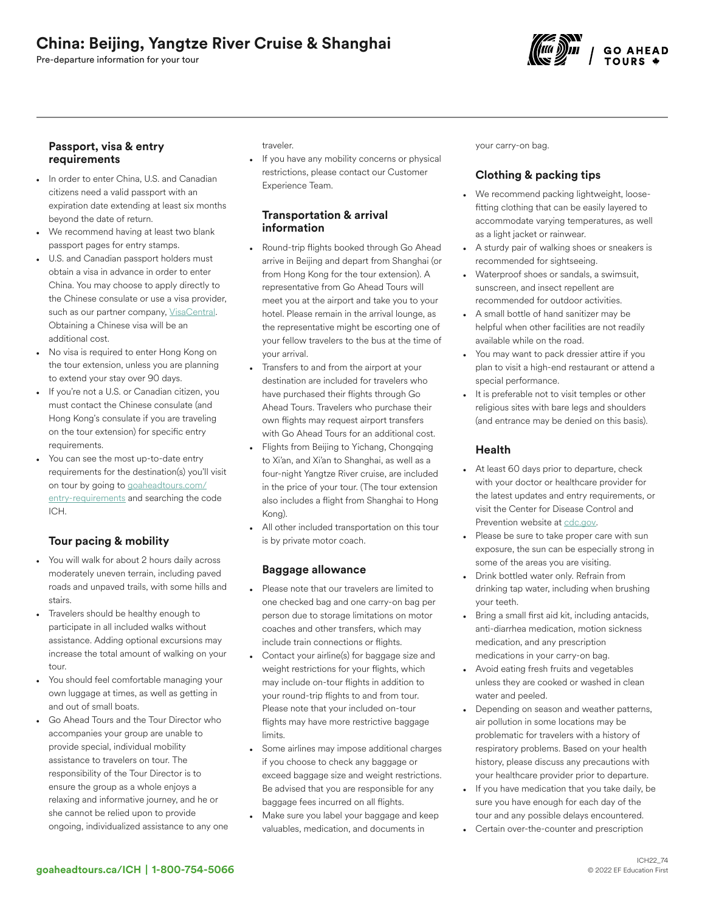# China: Beijing, Yangtze River Cruise & Shanghai

Pre-departure information for your tour



#### Passport, visa & entry requirements

- In order to enter China, U.S. and Canadian citizens need a valid passport with an expiration date extending at least six months beyond the date of return.
- We recommend having at least two blank passport pages for entry stamps.
- U.S. and Canadian passport holders must obtain a visa in advance in order to enter China. You may choose to apply directly to the Chinese consulate or use a visa provider, such as our partner company, [VisaCentral](https://www.visacentral.com/goaheadtours). Obtaining a Chinese visa will be an additional cost.
- No visa is required to enter Hong Kong on the tour extension, unless you are planning to extend your stay over 90 days.
- If you're not a U.S. or Canadian citizen, you must contact the Chinese consulate (and Hong Kong's consulate if you are traveling on the tour extension) for specific entry requirements.
- You can see the most up-to-date entry requirements for the destination(s) you'll visit on tour by going to [goaheadtours.com/](/entry-requirements?tourCode=ICH) [entry-requirements](/entry-requirements?tourCode=ICH) and searching the code ICH.

# Tour pacing & mobility

- You will walk for about 2 hours daily across moderately uneven terrain, including paved roads and unpaved trails, with some hills and stairs.
- Travelers should be healthy enough to participate in all included walks without assistance. Adding optional excursions may increase the total amount of walking on your tour.
- You should feel comfortable managing your own luggage at times, as well as getting in and out of small boats.
- Go Ahead Tours and the Tour Director who accompanies your group are unable to provide special, individual mobility assistance to travelers on tour. The responsibility of the Tour Director is to ensure the group as a whole enjoys a relaxing and informative journey, and he or she cannot be relied upon to provide ongoing, individualized assistance to any one

traveler.

If you have any mobility concerns or physical restrictions, please contact our Customer Experience Team.

#### Transportation & arrival information

- Round-trip flights booked through Go Ahead arrive in Beijing and depart from Shanghai (or from Hong Kong for the tour extension). A representative from Go Ahead Tours will meet you at the airport and take you to your hotel. Please remain in the arrival lounge, as the representative might be escorting one of your fellow travelers to the bus at the time of your arrival.
- Transfers to and from the airport at your destination are included for travelers who have purchased their flights through Go Ahead Tours. Travelers who purchase their own flights may request airport transfers with Go Ahead Tours for an additional cost.
- Flights from Beijing to Yichang, Chongqing to Xi'an, and Xi'an to Shanghai, as well as a four-night Yangtze River cruise, are included in the price of your tour. (The tour extension also includes a flight from Shanghai to Hong Kong).
- All other included transportation on this tour is by private motor coach.

#### Baggage allowance

- Please note that our travelers are limited to one checked bag and one carry-on bag per person due to storage limitations on motor coaches and other transfers, which may include train connections or flights.
- Contact your airline(s) for baggage size and weight restrictions for your flights, which may include on-tour flights in addition to your round-trip flights to and from tour. Please note that your included on-tour flights may have more restrictive baggage limits.
- Some airlines may impose additional charges if you choose to check any baggage or exceed baggage size and weight restrictions. Be advised that you are responsible for any baggage fees incurred on all flights.
- Make sure you label your baggage and keep valuables, medication, and documents in

your carry-on bag.

# Clothing & packing tips

- We recommend packing lightweight, loosefitting clothing that can be easily layered to accommodate varying temperatures, as well as a light jacket or rainwear.
- A sturdy pair of walking shoes or sneakers is recommended for sightseeing.
- Waterproof shoes or sandals, a swimsuit, sunscreen, and insect repellent are recommended for outdoor activities.
- A small bottle of hand sanitizer may be helpful when other facilities are not readily available while on the road.
- You may want to pack dressier attire if you plan to visit a high-end restaurant or attend a special performance.
- It is preferable not to visit temples or other religious sites with bare legs and shoulders (and entrance may be denied on this basis).

#### Health

- At least 60 days prior to departure, check with your doctor or healthcare provider for the latest updates and entry requirements, or visit the Center for Disease Control and Prevention website at [cdc.gov.](https://www/cdc.gov)
- Please be sure to take proper care with sun exposure, the sun can be especially strong in some of the areas you are visiting.
- Drink bottled water only. Refrain from drinking tap water, including when brushing your teeth.
- Bring a small first aid kit, including antacids, anti-diarrhea medication, motion sickness medication, and any prescription medications in your carry-on bag.
- Avoid eating fresh fruits and vegetables unless they are cooked or washed in clean water and peeled.
- Depending on season and weather patterns, air pollution in some locations may be problematic for travelers with a history of respiratory problems. Based on your health history, please discuss any precautions with your healthcare provider prior to departure.
- If you have medication that you take daily, be sure you have enough for each day of the tour and any possible delays encountered.
- Certain over-the-counter and prescription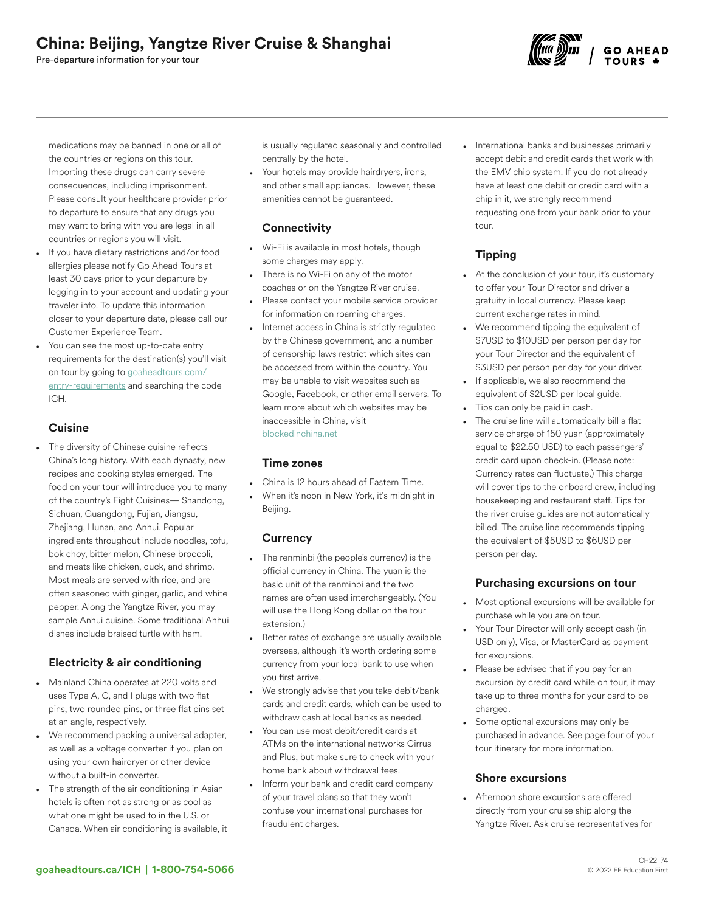Pre-departure information for your tour



medications may be banned in one or all of the countries or regions on this tour. Importing these drugs can carry severe consequences, including imprisonment. Please consult your healthcare provider prior to departure to ensure that any drugs you may want to bring with you are legal in all countries or regions you will visit.

- If you have dietary restrictions and/or food allergies please notify Go Ahead Tours at least 30 days prior to your departure by logging in to your account and updating your traveler info. To update this information closer to your departure date, please call our Customer Experience Team.
- You can see the most up-to-date entry requirements for the destination(s) you'll visit on tour by going to [goaheadtours.com/](/entry-requirements?tourCode=ICH) [entry-requirements](/entry-requirements?tourCode=ICH) and searching the code ICH.

### **Cuisine**

The diversity of Chinese cuisine reflects China's long history. With each dynasty, new recipes and cooking styles emerged. The food on your tour will introduce you to many of the country's Eight Cuisines— Shandong, Sichuan, Guangdong, Fujian, Jiangsu, Zhejiang, Hunan, and Anhui. Popular ingredients throughout include noodles, tofu, bok choy, bitter melon, Chinese broccoli, and meats like chicken, duck, and shrimp. Most meals are served with rice, and are often seasoned with ginger, garlic, and white pepper. Along the Yangtze River, you may sample Anhui cuisine. Some traditional Ahhui dishes include braised turtle with ham.

# Electricity & air conditioning

- Mainland China operates at 220 volts and uses Type A, C, and I plugs with two flat pins, two rounded pins, or three flat pins set at an angle, respectively.
- We recommend packing a universal adapter, as well as a voltage converter if you plan on using your own hairdryer or other device without a built-in converter.
- The strength of the air conditioning in Asian hotels is often not as strong or as cool as what one might be used to in the U.S. or Canada. When air conditioning is available, it

is usually regulated seasonally and controlled centrally by the hotel.

Your hotels may provide hairdryers, irons, and other small appliances. However, these amenities cannot be guaranteed.

### **Connectivity**

- Wi-Fi is available in most hotels, though some charges may apply.
- There is no Wi-Fi on any of the motor coaches or on the Yangtze River cruise.
- Please contact your mobile service provider for information on roaming charges.
- Internet access in China is strictly regulated by the Chinese government, and a number of censorship laws restrict which sites can be accessed from within the country. You may be unable to visit websites such as Google, Facebook, or other email servers. To learn more about which websites may be inaccessible in China, visit [blockedinchina.net](https://http//www.blockedinchina.net)

#### Time zones

- China is 12 hours ahead of Eastern Time.
- When it's noon in New York, it's midnight in Beijing.

# **Currency**

- The renminbi (the people's currency) is the official currency in China. The yuan is the basic unit of the renminbi and the two names are often used interchangeably. (You will use the Hong Kong dollar on the tour extension.)
- Better rates of exchange are usually available overseas, although it's worth ordering some currency from your local bank to use when you first arrive.
- We strongly advise that you take debit/bank cards and credit cards, which can be used to withdraw cash at local banks as needed.
- You can use most debit/credit cards at ATMs on the international networks Cirrus and Plus, but make sure to check with your home bank about withdrawal fees.
- Inform your bank and credit card company of your travel plans so that they won't confuse your international purchases for fraudulent charges.

• International banks and businesses primarily accept debit and credit cards that work with the EMV chip system. If you do not already have at least one debit or credit card with a chip in it, we strongly recommend requesting one from your bank prior to your tour.

# Tipping

- At the conclusion of your tour, it's customary to offer your Tour Director and driver a gratuity in local currency. Please keep current exchange rates in mind.
- We recommend tipping the equivalent of \$7USD to \$10USD per person per day for your Tour Director and the equivalent of \$3USD per person per day for your driver.
- If applicable, we also recommend the equivalent of \$2USD per local guide.
- Tips can only be paid in cash.
- The cruise line will automatically bill a flat service charge of 150 yuan (approximately equal to \$22.50 USD) to each passengers' credit card upon check-in. (Please note: Currency rates can fluctuate.) This charge will cover tips to the onboard crew, including housekeeping and restaurant staff. Tips for the river cruise guides are not automatically billed. The cruise line recommends tipping the equivalent of \$5USD to \$6USD per person per day.

# Purchasing excursions on tour

- Most optional excursions will be available for purchase while you are on tour.
- Your Tour Director will only accept cash (in USD only), Visa, or MasterCard as payment for excursions.
- Please be advised that if you pay for an excursion by credit card while on tour, it may take up to three months for your card to be charged.
- Some optional excursions may only be purchased in advance. See page four of your tour itinerary for more information.

#### Shore excursions

• Afternoon shore excursions are offered directly from your cruise ship along the Yangtze River. Ask cruise representatives for